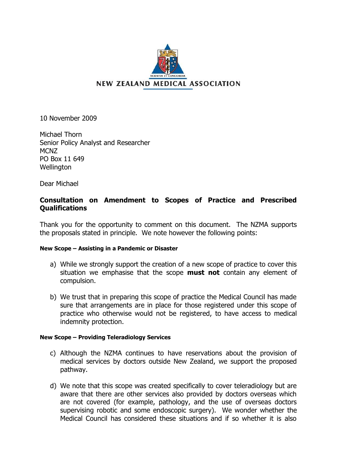

10 November 2009

Michael Thorn Senior Policy Analyst and Researcher MCNZ PO Box 11 649 **Wellington** 

Dear Michael

## **Consultation on Amendment to Scopes of Practice and Prescribed Qualifications**

Thank you for the opportunity to comment on this document. The NZMA supports the proposals stated in principle. We note however the following points:

## **New Scope – Assisting in a Pandemic or Disaster**

- a) While we strongly support the creation of a new scope of practice to cover this situation we emphasise that the scope **must not** contain any element of compulsion.
- b) We trust that in preparing this scope of practice the Medical Council has made sure that arrangements are in place for those registered under this scope of practice who otherwise would not be registered, to have access to medical indemnity protection.

## **New Scope – Providing Teleradiology Services**

- c) Although the NZMA continues to have reservations about the provision of medical services by doctors outside New Zealand, we support the proposed pathway.
- d) We note that this scope was created specifically to cover teleradiology but are aware that there are other services also provided by doctors overseas which are not covered (for example, pathology, and the use of overseas doctors supervising robotic and some endoscopic surgery). We wonder whether the Medical Council has considered these situations and if so whether it is also